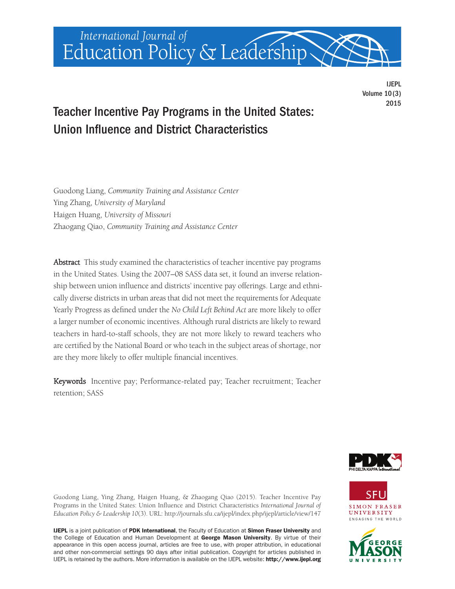

IJEPL Volume 10(3) 2015

# Teacher Incentive Pay Programs in the United States: Union Influence and District Characteristics

Guodong Liang, *Community Training and Assistance Center* Ying Zhang, *University of Maryland* Haigen Huang, *University of Missouri* Zhaogang Qiao, *Community Training and Assistance Center*

Abstract This study examined the characteristics of teacher incentive pay programs in the United States. Using the 2007–08 SASS data set, it found an inverse relationship between union influence and districts' incentive pay offerings. Large and ethnically diverse districts in urban areas that did not meet the requirements for Adequate Yearly Progress as defined under the *No Child Left Behind Act* are more likely to offer a larger number of economic incentives. Although rural districts are likely to reward teachers in hard-to-staff schools, they are not more likely to reward teachers who are certified by the National Board or who teach in the subject areas of shortage, nor are they more likely to offer multiple financial incentives.

Keywords Incentive pay; Performance-related pay; Teacher recruitment; Teacher retention; SASS

Guodong Liang, Ying Zhang, Haigen Huang, & Zhaogang Qiao (2015). Teacher Incentive Pay Programs in the United States: Union Influence and District Characteristics *International Journal of Education Policy & Leadership 10*(3). URL: <http://journals.sfu.ca/ijepl/index.php/ijepl/article/view/147>

**IJEPL** is a joint publication of **PDK International**, the Faculty of Education at **Simon Fraser University** and the College of Education and Human Development at **George Mason University**. By virtue of their appearance in this open access journal, articles are free to use, with proper attribution, in educational and other non-commercial settings 90 days after initial publication. Copyright for articles published in IJEPL is retained by the authors. More information is available on the IJEPL website: **<http://www.ijepl.org>**





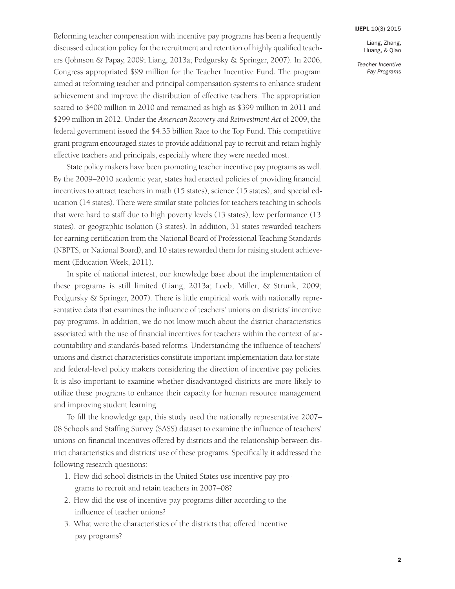*Teacher Incentive Pay Programs*

Reforming teacher compensation with incentive pay programs has been a frequently discussed education policy for the recruitment and retention of highly qualified teachers (Johnson & Papay, 2009; Liang, 2013a; Podgursky & Springer, 2007). In 2006, Congress appropriated \$99 million for the Teacher Incentive Fund*.* The program aimed at reforming teacher and principal compensation systems to enhance student achievement and improve the distribution of effective teachers. The appropriation soared to \$400 million in 2010 and remained as high as \$399 million in 2011 and \$299 million in 2012. Under the *American Recovery and Reinvestment Act* of 2009, the federal government issued the \$4.35 billion Race to the Top Fund. This competitive grant program encouraged states to provide additional pay to recruit and retain highly effective teachers and principals, especially where they were needed most.

State policy makers have been promoting teacher incentive pay programs as well. By the 2009–2010 academic year, states had enacted policies of providing financial incentives to attract teachers in math (15 states), science (15 states), and special education (14 states). There were similar state policies for teachers teaching in schools that were hard to staff due to high poverty levels (13 states), low performance (13 states), or geographic isolation (3 states). In addition, 31 states rewarded teachers for earning certification from the National Board of Professional Teaching Standards (NBPTS, or National Board), and 10 states rewarded them for raising student achievement (Education Week, 2011).

In spite of national interest, our knowledge base about the implementation of these programs is still limited (Liang, 2013a; Loeb, Miller, & Strunk, 2009; Podgursky & Springer, 2007). There is little empirical work with nationally representative data that examines the influence of teachers' unions on districts' incentive pay programs. In addition, we do not know much about the district characteristics associated with the use of financial incentives for teachers within the context of accountability and standards-based reforms. Understanding the influence of teachers' unions and district characteristics constitute important implementation data for stateand federal-level policy makers considering the direction of incentive pay policies. It is also important to examine whether disadvantaged districts are more likely to utilize these programs to enhance their capacity for human resource management and improving student learning.

To fill the knowledge gap, this study used the nationally representative 2007– 08 Schools and Staffing Survey (SASS) dataset to examine the influence of teachers' unions on financial incentives offered by districts and the relationship between district characteristics and districts' use of these programs. Specifically, it addressed the following research questions:

- 1. How did school districts in the United States use incentive pay programs to recruit and retain teachers in 2007–08?
- 2. How did the use of incentive pay programs differ according to the influence of teacher unions?
- 3. What were the characteristics of the districts that offered incentive pay programs?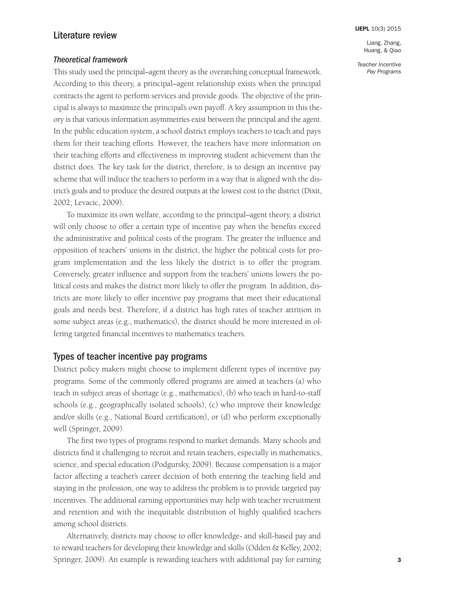#### Literature review

#### *Theoretical framework*

This study used the principal–agent theory as the overarching conceptual framework. According to this theory, a principal–agent relationship exists when the principal contracts the agent to perform services and provide goods. The objective of the principal is always to maximize the principal's own payoff. A key assumption in this theory is that various information asymmetries exist between the principal and the agent. In the public education system, a school district employs teachers to teach and pays them for their teaching efforts. However, the teachers have more information on their teaching efforts and effectiveness in improving student achievement than the district does. The key task for the district, therefore, is to design an incentive pay scheme that will induce the teachers to perform in a way that is aligned with the district's goals and to produce the desired outputs at the lowest cost to the district (Dixit, 2002; Levacic, 2009).

To maximize its own welfare, according to the principal–agent theory, a district will only choose to offer a certain type of incentive pay when the benefits exceed the administrative and political costs of the program. The greater the influence and opposition of teachers' unions in the district, the higher the political costs for program implementation and the less likely the district is to offer the program. Conversely, greater influence and support from the teachers' unions lowers the political costs and makes the district more likely to offer the program. In addition, districts are more likely to offer incentive pay programs that meet their educational goals and needs best. Therefore, if a district has high rates of teacher attrition in some subject areas (e.g., mathematics), the district should be more interested in offering targeted financial incentives to mathematics teachers.

## Types of teacher incentive pay programs

District policy makers might choose to implement different types of incentive pay programs. Some of the commonly offered programs are aimed at teachers (a) who teach in subject areas of shortage (e.g., mathematics), (b) who teach in hard-to-staff schools (e.g., geographically isolated schools), (c) who improve their knowledge and/or skills (e.g., National Board certification), or (d) who perform exceptionally well (Springer, 2009).

The first two types of programs respond to market demands. Many schools and districts find it challenging to recruit and retain teachers, especially in mathematics, science, and special education (Podgursky, 2009). Because compensation is a major factor affecting a teacher's career decision of both entering the teaching field and staying in the profession, one way to address the problem is to provide targeted pay incentives. The additional earning opportunities may help with teacher recruitment and retention and with the inequitable distribution of highly qualified teachers among school districts.

Alternatively, districts may choose to offer knowledge- and skill-based pay and to reward teachers for developing their knowledge and skills (Odden & Kelley, 2002; Springer, 2009). An example is rewarding teachers with additional pay for earning

Liang, Zhang, Huang, & Qiao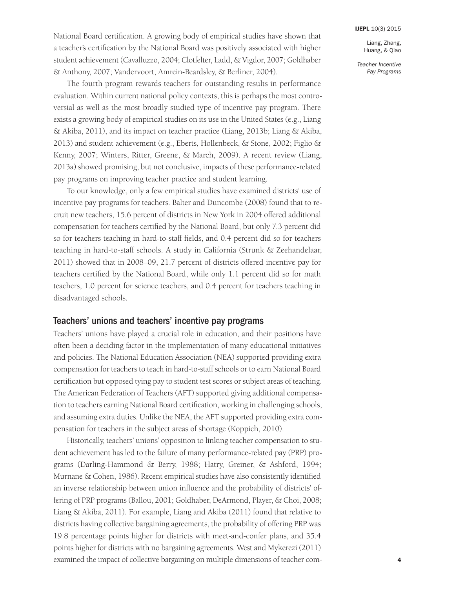National Board certification. A growing body of empirical studies have shown that a teacher's certification by the National Board was positively associated with higher student achievement (Cavalluzzo, 2004; Clotfelter, Ladd, & Vigdor, 2007; Goldhaber & Anthony, 2007; Vandervoort, Amrein-Beardsley, & Berliner, 2004).

The fourth program rewards teachers for outstanding results in performance evaluation. Within current national policy contexts, this is perhaps the most controversial as well as the most broadly studied type of incentive pay program. There exists a growing body of empirical studies on its use in the United States (e.g., Liang & Akiba, 2011), and its impact on teacher practice (Liang, 2013b; Liang & Akiba, 2013) and student achievement (e.g., Eberts, Hollenbeck, & Stone, 2002; Figlio & Kenny, 2007; Winters, Ritter, Greene, & March, 2009). A recent review (Liang, 2013a) showed promising, but not conclusive, impacts of these performance-related pay programs on improving teacher practice and student learning.

To our knowledge, only a few empirical studies have examined districts' use of incentive pay programs for teachers. Balter and Duncombe (2008) found that to recruit new teachers, 15.6 percent of districts in New York in 2004 offered additional compensation for teachers certified by the National Board, but only 7.3 percent did so for teachers teaching in hard-to-staff fields, and 0.4 percent did so for teachers teaching in hard-to-staff schools. A study in California (Strunk & Zeehandelaar, 2011) showed that in 2008–09, 21.7 percent of districts offered incentive pay for teachers certified by the National Board, while only 1.1 percent did so for math teachers, 1.0 percent for science teachers, and 0.4 percent for teachers teaching in disadvantaged schools.

## Teachers' unions and teachers' incentive pay programs

Teachers' unions have played a crucial role in education, and their positions have often been a deciding factor in the implementation of many educational initiatives and policies. The National Education Association (NEA) supported providing extra compensation for teachers to teach in hard-to-staff schools or to earn National Board certification but opposed tying pay to student test scores or subject areas of teaching. The American Federation of Teachers (AFT) supported giving additional compensation to teachers earning National Board certification, working in challenging schools, and assuming extra duties. Unlike the NEA, the AFT supported providing extra compensation for teachers in the subject areas of shortage (Koppich, 2010).

Historically, teachers' unions' opposition to linking teacher compensation to student achievement has led to the failure of many performance-related pay (PRP) programs (Darling-Hammond & Berry, 1988; Hatry, Greiner, & Ashford, 1994; Murnane & Cohen, 1986). Recent empirical studies have also consistently identified an inverse relationship between union influence and the probability of districts' offering of PRP programs (Ballou, 2001; Goldhaber, DeArmond, Player, & Choi, 2008; Liang & Akiba, 2011). For example, Liang and Akiba (2011) found that relative to districts having collective bargaining agreements, the probability of offering PRP was 19.8 percentage points higher for districts with meet-and-confer plans, and 35.4 points higher for districts with no bargaining agreements. West and Mykerezi (2011) examined the impact of collective bargaining on multiple dimensions of teacher com-

Liang, Zhang, Huang, & Qiao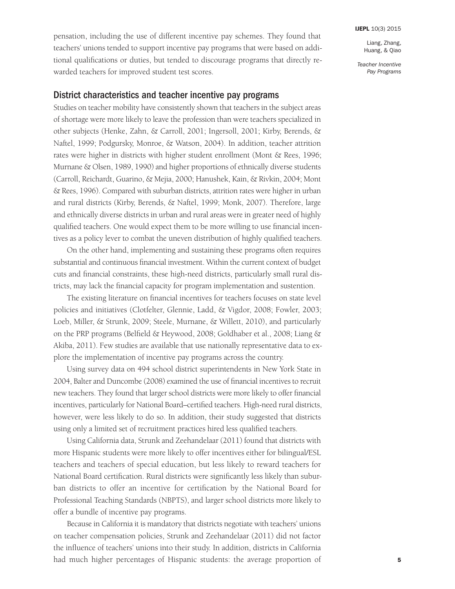*Teacher Incentive Pay Programs*

pensation, including the use of different incentive pay schemes. They found that teachers' unions tended to support incentive pay programs that were based on additional qualifications or duties, but tended to discourage programs that directly rewarded teachers for improved student test scores.

#### District characteristics and teacher incentive pay programs

Studies on teacher mobility have consistently shown that teachers in the subject areas of shortage were more likely to leave the profession than were teachers specialized in other subjects (Henke, Zahn, & Carroll, 2001; Ingersoll, 2001; Kirby, Berends, & Naftel, 1999; Podgursky, Monroe, & Watson, 2004). In addition, teacher attrition rates were higher in districts with higher student enrollment (Mont & Rees, 1996; Murnane & Olsen, 1989, 1990) and higher proportions of ethnically diverse students (Carroll, Reichardt, Guarino, & Mejia, 2000; Hanushek, Kain, & Rivkin, 2004; Mont & Rees, 1996). Compared with suburban districts, attrition rates were higher in urban and rural districts (Kirby, Berends, & Naftel, 1999; Monk, 2007). Therefore, large and ethnically diverse districts in urban and rural areas were in greater need of highly qualified teachers. One would expect them to be more willing to use financial incentives as a policy lever to combat the uneven distribution of highly qualified teachers.

On the other hand, implementing and sustaining these programs often requires substantial and continuous financial investment. Within the current context of budget cuts and financial constraints, these high-need districts, particularly small rural districts, may lack the financial capacity for program implementation and sustention.

The existing literature on financial incentives for teachers focuses on state level policies and initiatives (Clotfelter, Glennie, Ladd, & Vigdor, 2008; Fowler, 2003; Loeb, Miller, & Strunk, 2009; Steele, Murnane, & Willett, 2010), and particularly on the PRP programs (Belfield & Heywood, 2008; Goldhaber et al., 2008; Liang & Akiba, 2011). Few studies are available that use nationally representative data to explore the implementation of incentive pay programs across the country.

Using survey data on 494 school district superintendents in New York State in 2004, Balter and Duncombe (2008) examined the use of financial incentives to recruit new teachers. They found that larger school districts were more likely to offer financial incentives, particularly for National Board–certified teachers. High-need rural districts, however, were less likely to do so. In addition, their study suggested that districts using only a limited set of recruitment practices hired less qualified teachers.

Using California data, Strunk and Zeehandelaar (2011) found that districts with more Hispanic students were more likely to offer incentives either for bilingual/ESL teachers and teachers of special education, but less likely to reward teachers for National Board certification. Rural districts were significantly less likely than suburban districts to offer an incentive for certification by the National Board for Professional Teaching Standards (NBPTS), and larger school districts more likely to offer a bundle of incentive pay programs.

Because in California it is mandatory that districts negotiate with teachers' unions on teacher compensation policies, Strunk and Zeehandelaar (2011) did not factor the influence of teachers' unions into their study. In addition, districts in California had much higher percentages of Hispanic students: the average proportion of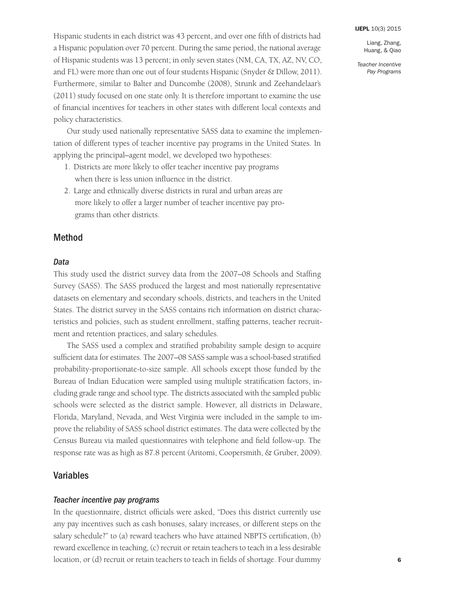*Teacher Incentive Pay Programs*

Hispanic students in each district was 43 percent, and over one fifth of districts had a Hispanic population over 70 percent. During the same period, the national average of Hispanic students was 13 percent; in only seven states (NM, CA, TX, AZ, NV, CO, and FL) were more than one out of four students Hispanic (Snyder & Dillow, 2011). Furthermore, similar to Balter and Duncombe (2008), Strunk and Zeehandelaar's (2011) study focused on one state only. It is therefore important to examine the use of financial incentives for teachers in other states with different local contexts and policy characteristics.

Our study used nationally representative SASS data to examine the implementation of different types of teacher incentive pay programs in the United States. In applying the principal–agent model, we developed two hypotheses:

- 1. Districts are more likely to offer teacher incentive pay programs when there is less union influence in the district.
- 2. Large and ethnically diverse districts in rural and urban areas are more likely to offer a larger number of teacher incentive pay programs than other districts.

## Method

#### *Data*

This study used the district survey data from the 2007–08 Schools and Staffing Survey (SASS). The SASS produced the largest and most nationally representative datasets on elementary and secondary schools, districts, and teachers in the United States. The district survey in the SASS contains rich information on district characteristics and policies, such as student enrollment, staffing patterns, teacher recruitment and retention practices, and salary schedules.

The SASS used a complex and stratified probability sample design to acquire sufficient data for estimates. The 2007–08 SASS sample was a school-based stratified probability-proportionate-to-size sample. All schools except those funded by the Bureau of Indian Education were sampled using multiple stratification factors, including grade range and school type. The districts associated with the sampled public schools were selected as the district sample. However, all districts in Delaware, Florida, Maryland, Nevada, and West Virginia were included in the sample to improve the reliability of SASS school district estimates. The data were collected by the Census Bureau via mailed questionnaires with telephone and field follow-up. The response rate was as high as 87.8 percent (Aritomi, Coopersmith, & Gruber, 2009).

### Variables

#### *Teacher incentive pay programs*

In the questionnaire, district officials were asked, "Does this district currently use any pay incentives such as cash bonuses, salary increases, or different steps on the salary schedule?" to (a) reward teachers who have attained NBPTS certification, (b) reward excellence in teaching, (c) recruit or retain teachers to teach in a less desirable location, or (d) recruit or retain teachers to teach in fields of shortage. Four dummy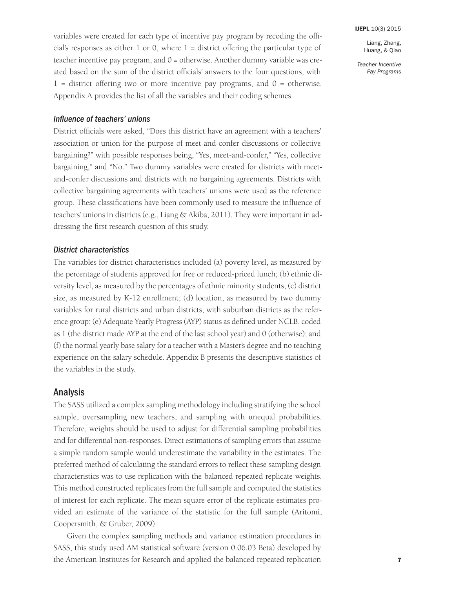*Teacher Incentive Pay Programs*

variables were created for each type of incentive pay program by recoding the official's responses as either 1 or 0, where  $1 =$  district offering the particular type of teacher incentive pay program, and 0 = otherwise. Another dummy variable was created based on the sum of the district officials' answers to the four questions, with  $1 =$  district offering two or more incentive pay programs, and  $0 =$  otherwise. Appendix A provides the list of all the variables and their coding schemes.

#### *Influence of teachers' unions*

District officials were asked, "Does this district have an agreement with a teachers' association or union for the purpose of meet-and-confer discussions or collective bargaining?" with possible responses being, "Yes, meet-and-confer," "Yes, collective bargaining," and "No." Two dummy variables were created for districts with meetand-confer discussions and districts with no bargaining agreements. Districts with collective bargaining agreements with teachers' unions were used as the reference group. These classifications have been commonly used to measure the influence of teachers' unions in districts (e.g., Liang & Akiba, 2011). They were important in addressing the first research question of this study.

#### *District characteristics*

The variables for district characteristics included (a) poverty level, as measured by the percentage of students approved for free or reduced-priced lunch; (b) ethnic diversity level, as measured by the percentages of ethnic minority students; (c) district size, as measured by K-12 enrollment; (d) location, as measured by two dummy variables for rural districts and urban districts, with suburban districts as the reference group; (e) Adequate Yearly Progress (AYP) status as defined under NCLB, coded as 1 (the district made AYP at the end of the last school year) and 0 (otherwise); and (f) the normal yearly base salary for a teacher with a Master's degree and no teaching experience on the salary schedule. Appendix B presents the descriptive statistics of the variables in the study.

#### Analysis

The SASS utilized a complex sampling methodology including stratifying the school sample, oversampling new teachers, and sampling with unequal probabilities. Therefore, weights should be used to adjust for differential sampling probabilities and for differential non-responses. Direct estimations of sampling errors that assume a simple random sample would underestimate the variability in the estimates. The preferred method of calculating the standard errors to reflect these sampling design characteristics was to use replication with the balanced repeated replicate weights. This method constructed replicates from the full sample and computed the statistics of interest for each replicate. The mean square error of the replicate estimates provided an estimate of the variance of the statistic for the full sample (Aritomi, Coopersmith, & Gruber, 2009).

Given the complex sampling methods and variance estimation procedures in SASS, this study used AM statistical software (version 0.06.03 Beta) developed by the American Institutes for Research and applied the balanced repeated replication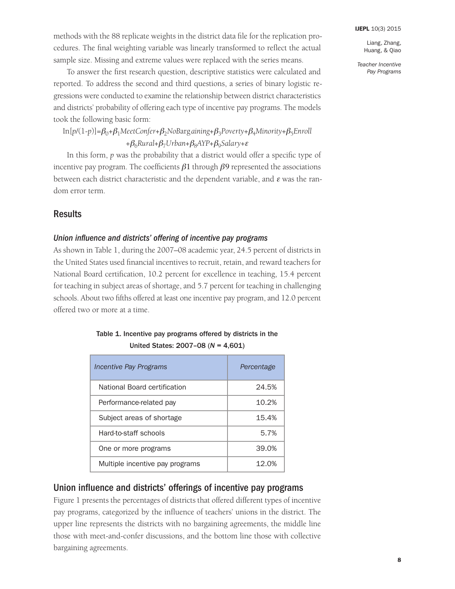methods with the 88 replicate weights in the district data file for the replication procedures. The final weighting variable was linearly transformed to reflect the actual sample size. Missing and extreme values were replaced with the series means.

To answer the first research question, descriptive statistics were calculated and reported. To address the second and third questions, a series of binary logistic regressions were conducted to examine the relationship between district characteristics and districts' probability of offering each type of incentive pay programs. The models took the following basic form:

 $\ln[p/(1-p)] = \beta_0 + \beta_1$ *MeetConfer+* $\beta_2$ *NoBargaining+* $\beta_3$ *Poverty+* $\beta_4$ *Minority+* $\beta_5$ *Enroll*  $+\beta_6$ *Rural+* $\beta_7$ *Urban+* $\beta_8$ *AYP+* $\beta_9$ *Salary+* $\varepsilon$ 

In this form, *p* was the probability that a district would offer a specific type of incentive pay program. The coefficients  $\beta1$  through  $\beta9$  represented the associations between each district characteristic and the dependent variable, and  $\varepsilon$  was the random error term.

## **Results**

#### *Union influence and districts' offering of incentive pay programs*

As shown in Table 1, during the 2007–08 academic year, 24.5 percent of districts in the United States used financial incentives to recruit, retain, and reward teachers for National Board certification, 10.2 percent for excellence in teaching, 15.4 percent for teaching in subject areas of shortage, and 5.7 percent for teaching in challenging schools. About two fifths offered at least one incentive pay program, and 12.0 percent offered two or more at a time.

#### Table 1. Incentive pay programs offered by districts in the United States: 2007–08 (*N* = 4,601)

| Incentive Pay Programs          | Percentage |
|---------------------------------|------------|
| National Board certification    | 24.5%      |
| Performance-related pay         | 10.2%      |
| Subject areas of shortage       | 15.4%      |
| Hard-to-staff schools           | 5.7%       |
| One or more programs            | 39.0%      |
| Multiple incentive pay programs | 12 O%      |

## Union influence and districts' offerings of incentive pay programs

Figure 1 presents the percentages of districts that offered different types of incentive pay programs, categorized by the influence of teachers' unions in the district. The upper line represents the districts with no bargaining agreements, the middle line those with meet-and-confer discussions, and the bottom line those with collective bargaining agreements.

Huang, & Qiao *Teacher Incentive Pay Programs*

Liang, Zhang,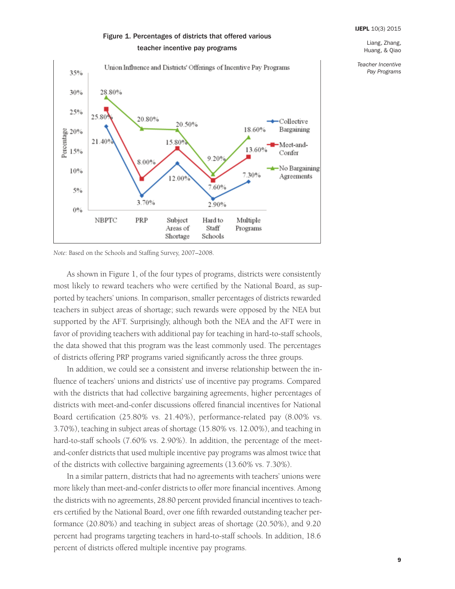**[IJEPL](http://www.ijepl.org)** 10(3) 2015

## Figure 1. Percentages of districts that offered various teacher incentive pay programs



## Liang, Zhang, Huang, & Qiao

*Teacher Incentive Pay Programs*

*Note*: Based on the Schools and Staffing Survey, 2007–2008.

As shown in Figure 1, of the four types of programs, districts were consistently most likely to reward teachers who were certified by the National Board, as supported by teachers' unions. In comparison, smaller percentages of districts rewarded teachers in subject areas of shortage; such rewards were opposed by the NEA but supported by the AFT. Surprisingly, although both the NEA and the AFT were in favor of providing teachers with additional pay for teaching in hard-to-staff schools, the data showed that this program was the least commonly used. The percentages of districts offering PRP programs varied significantly across the three groups.

In addition, we could see a consistent and inverse relationship between the influence of teachers' unions and districts' use of incentive pay programs. Compared with the districts that had collective bargaining agreements, higher percentages of districts with meet-and-confer discussions offered financial incentives for National Board certification (25.80% vs. 21.40%), performance-related pay (8.00% vs. 3.70%), teaching in subject areas of shortage (15.80% vs. 12.00%), and teaching in hard-to-staff schools (7.60% vs. 2.90%). In addition, the percentage of the meetand-confer districts that used multiple incentive pay programs was almost twice that of the districts with collective bargaining agreements (13.60% vs. 7.30%).

In a similar pattern, districts that had no agreements with teachers' unions were more likely than meet-and-confer districts to offer more financial incentives. Among the districts with no agreements, 28.80 percent provided financial incentives to teachers certified by the National Board, over one fifth rewarded outstanding teacher performance (20.80%) and teaching in subject areas of shortage (20.50%), and 9.20 percent had programs targeting teachers in hard-to-staff schools. In addition, 18.6 percent of districts offered multiple incentive pay programs.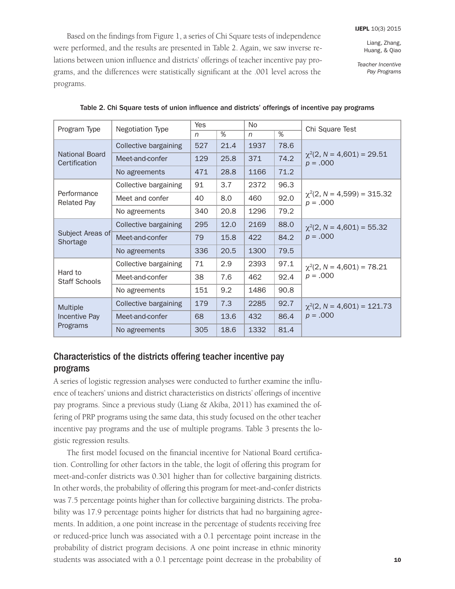Based on the findings from Figure 1, a series of Chi Square tests of independence were performed, and the results are presented in Table 2. Again, we saw inverse relations between union influence and districts' offerings of teacher incentive pay programs, and the differences were statistically significant at the .001 level across the programs.

Liang, Zhang, Huang, & Qiao

*Teacher Incentive Pay Programs*

| Program Type                                 | Negotiation Type      | Yes |      | No         |                 | Chi Square Test                                |  |
|----------------------------------------------|-----------------------|-----|------|------------|-----------------|------------------------------------------------|--|
|                                              |                       | n   | %    | $\sqrt{n}$ | $\overline{\%}$ |                                                |  |
| <b>National Board</b><br>Certification       | Collective bargaining | 527 | 21.4 | 1937       | 78.6            |                                                |  |
|                                              | Meet-and-confer       | 129 | 25.8 | 371        | 74.2            | $\chi^2(2, N = 4,601) = 29.51$<br>$p = .000$   |  |
|                                              | No agreements         | 471 | 28.8 | 1166       | 71.2            |                                                |  |
|                                              | Collective bargaining | 91  | 3.7  | 2372       | 96.3            |                                                |  |
| Performance<br><b>Related Pay</b>            | Meet and confer       | 40  | 8.0  | 460        | 92.0            | $\chi^2$ (2, N = 4,599) = 315.32<br>$p = .000$ |  |
|                                              | No agreements         | 340 | 20.8 | 1296       | 79.2            |                                                |  |
| Subject Areas of<br>Shortage                 | Collective bargaining | 295 | 12.0 | 2169       | 88.0            | $\chi^2(2, N = 4,601) = 55.32$                 |  |
|                                              | Meet-and-confer       | 79  | 15.8 | 422        | 84.2            | $p = .000$                                     |  |
|                                              | No agreements         | 336 | 20.5 | 1300       | 79.5            |                                                |  |
| Hard to<br><b>Staff Schools</b>              | Collective bargaining | 71  | 2.9  | 2393       | 97.1            | $\chi^2(2, N = 4,601) = 78.21$                 |  |
|                                              | Meet-and-confer       | 38  | 7.6  | 462        | 92.4            | $p = .000$                                     |  |
|                                              | No agreements         | 151 | 9.2  | 1486       | 90.8            |                                                |  |
| Multiple<br><b>Incentive Pay</b><br>Programs | Collective bargaining | 179 | 7.3  | 2285       | 92.7            | $\chi^2(2, N = 4,601) = 121.73$                |  |
|                                              | Meet-and-confer       | 68  | 13.6 | 432        | 86.4            | $p = .000$                                     |  |
|                                              | No agreements         | 305 | 18.6 | 1332       | 81.4            |                                                |  |

Table 2. Chi Square tests of union influence and districts' offerings of incentive pay programs

## Characteristics of the districts offering teacher incentive pay programs

A series of logistic regression analyses were conducted to further examine the influence of teachers' unions and district characteristics on districts' offerings of incentive pay programs. Since a previous study (Liang & Akiba, 2011) has examined the offering of PRP programs using the same data, this study focused on the other teacher incentive pay programs and the use of multiple programs. Table 3 presents the logistic regression results.

The first model focused on the financial incentive for National Board certification. Controlling for other factors in the table, the logit of offering this program for meet-and-confer districts was 0.301 higher than for collective bargaining districts. In other words, the probability of offering this program for meet-and-confer districts was 7.5 percentage points higher than for collective bargaining districts. The probability was 17.9 percentage points higher for districts that had no bargaining agreements. In addition, a one point increase in the percentage of students receiving free or reduced-price lunch was associated with a 0.1 percentage point increase in the probability of district program decisions. A one point increase in ethnic minority students was associated with a 0.1 percentage point decrease in the probability of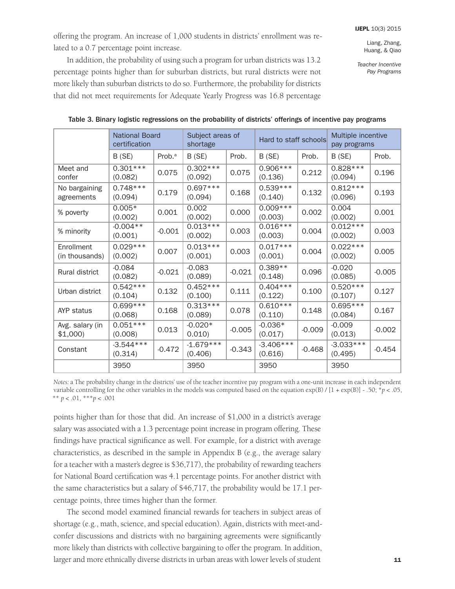offering the program. An increase of 1,000 students in districts' enrollment was related to a 0.7 percentage point increase.

Liang, Zhang, Huang, & Qiao

*Teacher Incentive Pay Programs*

In addition, the probability of using such a program for urban districts was 13.2 percentage points higher than for suburban districts, but rural districts were not more likely than suburban districts to do so. Furthermore, the probability for districts that did not meet requirements for Adequate Yearly Progress was 16.8 percentage

|                              | <b>National Board</b><br>certification |                    | Subject areas of<br>shortage |          | Hard to staff schools  |          | Multiple incentive<br>pay programs |          |
|------------------------------|----------------------------------------|--------------------|------------------------------|----------|------------------------|----------|------------------------------------|----------|
|                              | B(SE)                                  | Prob. <sup>a</sup> | B(SE)                        | Prob.    | B(SE)                  | Prob.    | B (SE)                             | Prob.    |
| Meet and<br>confer           | $0.301***$<br>(0.082)                  | 0.075              | $0.302***$<br>(0.092)        | 0.075    | $0.906***$<br>(0.136)  | 0.212    | $0.828***$<br>(0.094)              | 0.196    |
| No bargaining<br>agreements  | $0.748***$<br>(0.094)                  | 0.179              | $0.697***$<br>(0.094)        | 0.168    | $0.539***$<br>(0.140)  | 0.132    | $0.812***$<br>(0.096)              | 0.193    |
| % poverty                    | $0.005*$<br>(0.002)                    | 0.001              | 0.002<br>(0.002)             | 0.000    | $0.009***$<br>(0.003)  | 0.002    | 0.004<br>(0.002)                   | 0.001    |
| % minority                   | $-0.004**$<br>(0.001)                  | $-0.001$           | $0.013***$<br>(0.002)        | 0.003    | $0.016***$<br>(0.003)  | 0.004    | $0.012***$<br>(0.002)              | 0.003    |
| Enrollment<br>(in thousands) | $0.029***$<br>(0.002)                  | 0.007              | $0.013***$<br>(0.001)        | 0.003    | $0.017***$<br>(0.001)  | 0.004    | $0.022***$<br>(0.002)              | 0.005    |
| Rural district               | $-0.084$<br>(0.082)                    | $-0.021$           | $-0.083$<br>(0.089)          | $-0.021$ | $0.389**$<br>(0.148)   | 0.096    | $-0.020$<br>(0.085)                | $-0.005$ |
| Urban district               | $0.542***$<br>(0.104)                  | 0.132              | $0.452***$<br>(0.100)        | 0.111    | $0.404***$<br>(0.122)  | 0.100    | $0.520***$<br>(0.107)              | 0.127    |
| AYP status                   | $0.699***$<br>(0.068)                  | 0.168              | $0.313***$<br>(0.089)        | 0.078    | $0.610***$<br>(0.110)  | 0.148    | $0.695***$<br>(0.084)              | 0.167    |
| Avg. salary (in<br>\$1,000   | $0.051***$<br>(0.008)                  | 0.013              | $-0.020*$<br>0.010)          | $-0.005$ | $-0.036*$<br>(0.017)   | $-0.009$ | $-0.009$<br>(0.013)                | $-0.002$ |
| Constant                     | $-3.544***$<br>(0.314)                 | $-0.472$           | $-1.679***$<br>(0.406)       | $-0.343$ | $-3.406***$<br>(0.616) | $-0.468$ | $-3.033***$<br>(0.495)             | $-0.454$ |
|                              | 3950                                   |                    | 3950                         |          | 3950                   |          | 3950                               |          |

|  | Table 3. Binary logistic regressions on the probability of districts' offerings of incentive pay programs |  |  |
|--|-----------------------------------------------------------------------------------------------------------|--|--|
|  |                                                                                                           |  |  |

*Notes:* a The probability change in the districts' use of the teacher incentive pay program with a one-unit increase in each independent variable controlling for the other variables in the models was computed based on the equation exp(B) / [1 + exp(B)] - .50; \**p* < .05, \*\* *p* < .01, \*\*\**p* < .001

points higher than for those that did. An increase of \$1,000 in a district's average salary was associated with a 1.3 percentage point increase in program offering. These findings have practical significance as well. For example, for a district with average characteristics, as described in the sample in Appendix B (e.g., the average salary for a teacher with a master's degree is \$36,717), the probability of rewarding teachers for National Board certification was 4.1 percentage points. For another district with the same characteristics but a salary of \$46,717, the probability would be 17.1 percentage points, three times higher than the former.

The second model examined financial rewards for teachers in subject areas of shortage (e.g., math, science, and special education). Again, districts with meet-andconfer discussions and districts with no bargaining agreements were significantly more likely than districts with collective bargaining to offer the program. In addition, larger and more ethnically diverse districts in urban areas with lower levels of student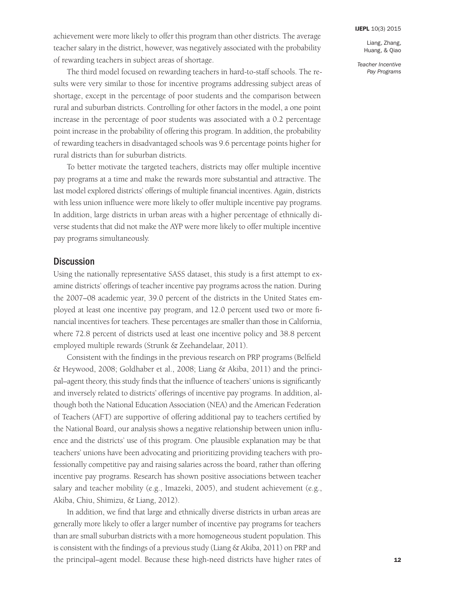achievement were more likely to offer this program than other districts. The average teacher salary in the district, however, was negatively associated with the probability of rewarding teachers in subject areas of shortage.

Liang, Zhang, Huang, & Qiao

*Teacher Incentive Pay Programs*

The third model focused on rewarding teachers in hard-to-staff schools. The results were very similar to those for incentive programs addressing subject areas of shortage, except in the percentage of poor students and the comparison between rural and suburban districts. Controlling for other factors in the model, a one point increase in the percentage of poor students was associated with a 0.2 percentage point increase in the probability of offering this program. In addition, the probability of rewarding teachers in disadvantaged schools was 9.6 percentage points higher for rural districts than for suburban districts.

To better motivate the targeted teachers, districts may offer multiple incentive pay programs at a time and make the rewards more substantial and attractive. The last model explored districts' offerings of multiple financial incentives. Again, districts with less union influence were more likely to offer multiple incentive pay programs. In addition, large districts in urban areas with a higher percentage of ethnically diverse students that did not make the AYP were more likely to offer multiple incentive pay programs simultaneously.

#### **Discussion**

Using the nationally representative SASS dataset, this study is a first attempt to examine districts' offerings of teacher incentive pay programs across the nation. During the 2007–08 academic year, 39.0 percent of the districts in the United States employed at least one incentive pay program, and 12.0 percent used two or more financial incentives for teachers. These percentages are smaller than those in California, where 72.8 percent of districts used at least one incentive policy and 38.8 percent employed multiple rewards (Strunk & Zeehandelaar, 2011).

Consistent with the findings in the previous research on PRP programs (Belfield & Heywood, 2008; Goldhaber et al., 2008; Liang & Akiba, 2011) and the principal–agent theory, this study finds that the influence of teachers' unions is significantly and inversely related to districts' offerings of incentive pay programs. In addition, although both the National Education Association (NEA) and the American Federation of Teachers (AFT) are supportive of offering additional pay to teachers certified by the National Board, our analysis shows a negative relationship between union influence and the districts' use of this program. One plausible explanation may be that teachers' unions have been advocating and prioritizing providing teachers with professionally competitive pay and raising salaries across the board, rather than offering incentive pay programs. Research has shown positive associations between teacher salary and teacher mobility (e.g., Imazeki, 2005), and student achievement (e.g., Akiba, Chiu, Shimizu, & Liang, 2012).

In addition, we find that large and ethnically diverse districts in urban areas are generally more likely to offer a larger number of incentive pay programs for teachers than are small suburban districts with a more homogeneous student population. This is consistent with the findings of a previous study (Liang & Akiba, 2011) on PRP and the principal–agent model. Because these high-need districts have higher rates of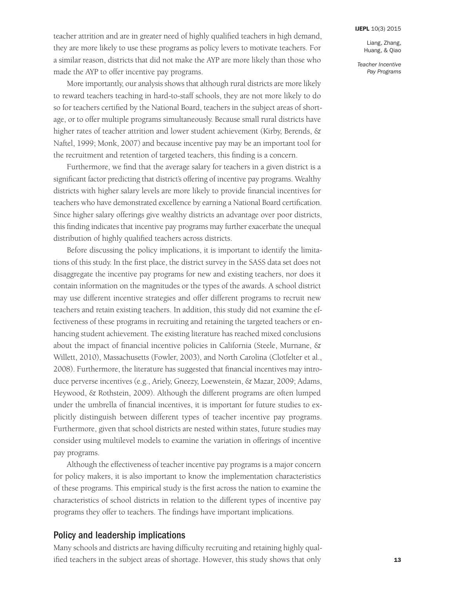*Teacher Incentive Pay Programs*

teacher attrition and are in greater need of highly qualified teachers in high demand, they are more likely to use these programs as policy levers to motivate teachers. For a similar reason, districts that did not make the AYP are more likely than those who made the AYP to offer incentive pay programs.

More importantly, our analysis shows that although rural districts are more likely to reward teachers teaching in hard-to-staff schools, they are not more likely to do so for teachers certified by the National Board, teachers in the subject areas of shortage, or to offer multiple programs simultaneously. Because small rural districts have higher rates of teacher attrition and lower student achievement (Kirby, Berends, & Naftel, 1999; Monk, 2007) and because incentive pay may be an important tool for the recruitment and retention of targeted teachers, this finding is a concern.

Furthermore, we find that the average salary for teachers in a given district is a significant factor predicting that district's offering of incentive pay programs. Wealthy districts with higher salary levels are more likely to provide financial incentives for teachers who have demonstrated excellence by earning a National Board certification. Since higher salary offerings give wealthy districts an advantage over poor districts, this finding indicates that incentive pay programs may further exacerbate the unequal distribution of highly qualified teachers across districts.

Before discussing the policy implications, it is important to identify the limitations of this study. In the first place, the district survey in the SASS data set does not disaggregate the incentive pay programs for new and existing teachers, nor does it contain information on the magnitudes or the types of the awards. A school district may use different incentive strategies and offer different programs to recruit new teachers and retain existing teachers. In addition, this study did not examine the effectiveness of these programs in recruiting and retaining the targeted teachers or enhancing student achievement. The existing literature has reached mixed conclusions about the impact of financial incentive policies in California (Steele, Murnane, & Willett, 2010), Massachusetts (Fowler, 2003), and North Carolina (Clotfelter et al., 2008). Furthermore, the literature has suggested that financial incentives may introduce perverse incentives (e.g., Ariely, Gneezy, Loewenstein, & Mazar, 2009; Adams, Heywood, & Rothstein, 2009). Although the different programs are often lumped under the umbrella of financial incentives, it is important for future studies to explicitly distinguish between different types of teacher incentive pay programs. Furthermore, given that school districts are nested within states, future studies may consider using multilevel models to examine the variation in offerings of incentive pay programs.

Although the effectiveness of teacher incentive pay programs is a major concern for policy makers, it is also important to know the implementation characteristics of these programs. This empirical study is the first across the nation to examine the characteristics of school districts in relation to the different types of incentive pay programs they offer to teachers. The findings have important implications.

#### Policy and leadership implications

Many schools and districts are having difficulty recruiting and retaining highly qualified teachers in the subject areas of shortage. However, this study shows that only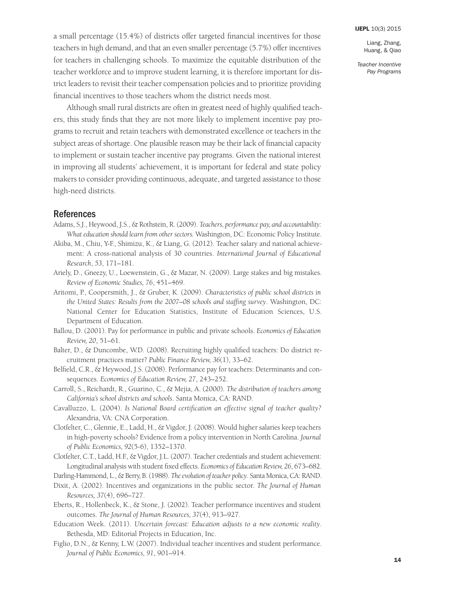#### **[IJEPL](http://www.ijepl.org)** 10(3) 2015

Liang, Zhang, Huang, & Qiao

*Teacher Incentive Pay Programs*

a small percentage (15.4%) of districts offer targeted financial incentives for those teachers in high demand, and that an even smaller percentage (5.7%) offer incentives for teachers in challenging schools. To maximize the equitable distribution of the teacher workforce and to improve student learning, it is therefore important for district leaders to revisit their teacher compensation policies and to prioritize providing financial incentives to those teachers whom the district needs most.

Although small rural districts are often in greatest need of highly qualified teachers, this study finds that they are not more likely to implement incentive pay programs to recruit and retain teachers with demonstrated excellence or teachers in the subject areas of shortage. One plausible reason may be their lack of financial capacity to implement or sustain teacher incentive pay programs. Given the national interest in improving all students' achievement, it is important for federal and state policy makers to consider providing continuous, adequate, and targeted assistance to those high-need districts.

#### References

- Adams, S.J., Heywood, J.S., & Rothstein, R. (2009). *Teachers, performance pay, and accountability: What education should learn from other sectors.* Washington, DC: Economic Policy Institute.
- Akiba, M., Chiu, Y-F., Shimizu, K., & Liang, G. (2012). Teacher salary and national achievement: A cross-national analysis of 30 countries. *International Journal of Educational Research*, *53*, 171–181.
- Ariely, D., Gneezy, U., Loewenstein, G., & Mazar, N. (2009). Large stakes and big mistakes. *Review of Economic Studies, 76*, 451–469.
- Aritomi, P., Coopersmith, J., & Gruber, K. (2009). *Characteristics of public school districts in the United States: Results from the 2007–08 schools and staffing survey*. Washington, DC: National Center for Education Statistics, Institute of Education Sciences, U.S. Department of Education.
- Ballou, D. (2001). Pay for performance in public and private schools. *Economics of Education Review, 20*, 51–61.
- Balter, D., & Duncombe, W.D. (2008). Recruiting highly qualified teachers: Do district recruitment practices matter? *Public Finance Review, 36*(1), 33–62.
- Belfield, C.R., & Heywood, J.S. (2008). Performance pay for teachers: Determinants and consequences. *Economics of Education Review, 27*, 243–252.
- Carroll, S., Reichardt, R., Guarino, C., & Mejia, A. (2000). *The distribution of teachers among California's school districts and schools*. Santa Monica, CA: RAND.
- Cavalluzzo, L. (2004). *Is National Board certification an effective signal of teacher quality?* Alexandria, VA: CNA Corporation.
- Clotfelter, C., Glennie, E., Ladd, H., & Vigdor, J. (2008). Would higher salaries keep teachers in high-poverty schools? Evidence from a policy intervention in North Carolina. *Journal of Public Economics, 92*(5-6), 1352–1370.
- Clotfelter, C.T., Ladd, H.F., & Vigdor, J.L. (2007). Teacher credentials and student achievement: Longitudinal analysis with student fixed effects. *Economics of Education Review, 26*, 673–682.
- Darling-Hammond, L., & Berry, B. (1988). *The evolution of teacher policy*. Santa Monica, CA: RAND.
- Dixit, A. (2002). Incentives and organizations in the public sector. *The Journal of Human Resources, 37*(4), 696–727.
- Eberts, R., Hollenbeck, K., & Stone, J. (2002). Teacher performance incentives and student outcomes. *The Journal of Human Resources, 37*(4), 913–927.
- Education Week. (2011). *Uncertain forecast: Education adjusts to a new economic reality*. Bethesda, MD: Editorial Projects in Education, Inc.
- Figlio, D.N., & Kenny, L.W. (2007). Individual teacher incentives and student performance. *Journal of Public Economics, 91*, 901–914.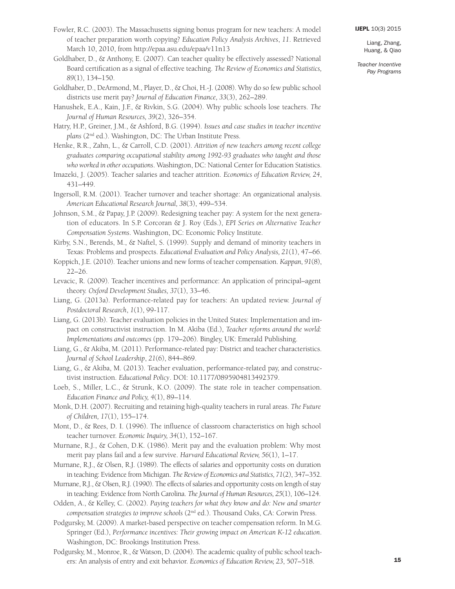- Fowler, R.C. (2003). The Massachusetts signing bonus program for new teachers: A model of teacher preparation worth copying? *Education Policy Analysis Archives*, *11*. Retrieved March 10, 2010, from http://epaa.asu.edu/epaa/v11n13
- Goldhaber, D., & Anthony, E. (2007). Can teacher quality be effectively assessed? National Board certification as a signal of effective teaching. *The Review of Economics and Statistics, 89*(1), 134–150.
- Goldhaber, D., DeArmond, M., Player, D., & Choi, H.-J. (2008). Why do so few public school districts use merit pay? *Journal of Education Finance, 33*(3), 262–289.
- Hanushek, E.A., Kain, J.F., & Rivkin, S.G. (2004). Why public schools lose teachers. *The Journal of Human Resources, 39*(2), 326–354.
- Hatry, H.P., Greiner, J.M., & Ashford, B.G. (1994). *Issues and case studies in teacher incentive plans* (2nd ed.). Washington, DC: The Urban Institute Press.
- Henke, R.R., Zahn, L., & Carroll, C.D. (2001). *Attrition of new teachers among recent college graduates comparing occupational stability among 1992-93 graduates who taught and those who worked in other occupations*. Washington, DC: National Center for Education Statistics.
- Imazeki, J. (2005). Teacher salaries and teacher attrition. *Economics of Education Review, 24*, 431–449.
- Ingersoll, R.M. (2001). Teacher turnover and teacher shortage: An organizational analysis. *American Educational Research Journal, 38*(3), 499–534.
- Johnson, S.M., & Papay, J.P. (2009). Redesigning teacher pay: A system for the next generation of educators. In S.P. Corcoran & J. Roy (Eds.), *EPI Series on Alternative Teacher Compensation Systems*. Washington, DC: Economic Policy Institute.
- Kirby, S.N., Berends, M., & Naftel, S. (1999). Supply and demand of minority teachers in Texas: Problems and prospects. *Educational Evaluation and Policy Analysis, 21*(1), 47–66.
- Koppich, J.E. (2010). Teacher unions and new forms of teacher compensation. *Kappan, 91*(8), 22–26.
- Levacic, R. (2009). Teacher incentives and performance: An application of principal–agent theory. *Oxford Development Studies, 37*(1), 33–46.
- Liang, G. (2013a). Performance-related pay for teachers: An updated review. *Journal of Postdoctoral Research*, *1*(1), 99-117.
- Liang, G. (2013b). Teacher evaluation policies in the United States: Implementation and impact on constructivist instruction. In M. Akiba (Ed.), *Teacher reforms around the world: Implementations and outcomes* (pp. 179–206). Bingley, UK: Emerald Publishing.
- Liang, G., & Akiba, M. (2011). Performance-related pay: District and teacher characteristics. *Journal of School Leadership*, *21*(6), 844–869.
- Liang, G., & Akiba, M. (2013). Teacher evaluation, performance-related pay, and constructivist instruction. *Educational Policy*. DOI: 10.1177/0895904813492379.
- Loeb, S., Miller, L.C., & Strunk, K.O. (2009). The state role in teacher compensation. *Education Finance and Policy, 4*(1), 89–114.
- Monk, D.H. (2007). Recruiting and retaining high-quality teachers in rural areas. *The Future of Children, 17*(1), 155–174.
- Mont, D., & Rees, D. I. (1996). The influence of classroom characteristics on high school teacher turnover. *Economic Inquiry, 34*(1), 152–167.
- Murnane, R.J., & Cohen, D.K. (1986). Merit pay and the evaluation problem: Why most merit pay plans fail and a few survive. *Harvard Educational Review, 56*(1), 1–17.
- Murnane, R.J., & Olsen, R.J. (1989). The effects of salaries and opportunity costs on duration in teaching: Evidence from Michigan. *The Review of Economics and Statistics, 71*(2), 347–352.
- Murnane, R.J., & Olsen, R.J. (1990). The effects of salaries and opportunity costs on length of stay in teaching: Evidence from North Carolina. *The Journal of Human Resources*, 25(1), 106–124.
- Odden, A., & Kelley, C. (2002). *Paying teachers for what they know and do: New and smarter compensation strategies to improve schools* (2nd ed.). Thousand Oaks, CA: Corwin Press.
- Podgursky, M. (2009). A market-based perspective on teacher compensation reform. In M.G. Springer (Ed.), *Performance incentives: Their growing impact on American K-12 education*. Washington, DC: Brookings Institution Press.
- Podgursky, M., Monroe, R., & Watson, D. (2004). The academic quality of public school teachers: An analysis of entry and exit behavior. *Economics of Education Review, 23*, 507–518.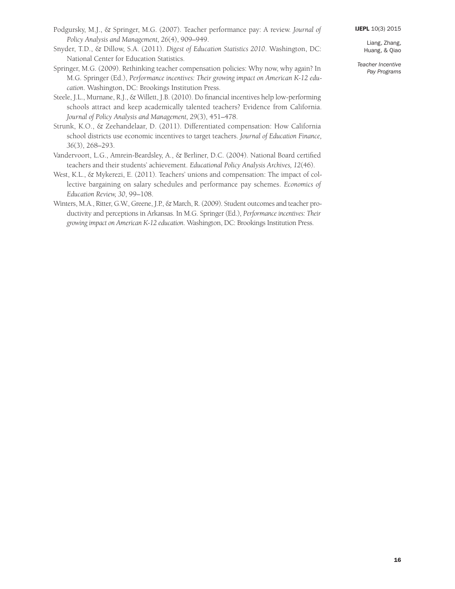- *Teacher Incentive Pay Programs*
- Podgursky, M.J., & Springer, M.G. (2007). Teacher performance pay: A review. *Journal of Policy Analysis and Management, 26*(4), 909–949.
- Snyder, T.D., & Dillow, S.A. (2011). *Digest of Education Statistics 2010*. Washington, DC: National Center for Education Statistics.
- Springer, M.G. (2009). Rethinking teacher compensation policies: Why now, why again? In M.G. Springer (Ed.), *Performance incentives: Their growing impact on American K-12 education*. Washington, DC: Brookings Institution Press.
- Steele, J.L., Murnane, R.J., & Willett, J.B. (2010). Do financial incentives help low-performing schools attract and keep academically talented teachers? Evidence from California. *Journal of Policy Analysis and Management, 29*(3), 451–478.
- Strunk, K.O., & Zeehandelaar, D. (2011). Differentiated compensation: How California school districts use economic incentives to target teachers. *Journal of Education Finance, 36*(3), 268–293.
- Vandervoort, L.G., Amrein-Beardsley, A., & Berliner, D.C. (2004). National Board certified teachers and their students' achievement. *Educational Policy Analysis Archives, 12*(46).
- West, K.L., & Mykerezi, E. (2011). Teachers' unions and compensation: The impact of collective bargaining on salary schedules and performance pay schemes. *Economics of Education Review, 30*, 99–108.
- Winters, M.A., Ritter, G.W., Greene, J.P., & March, R. (2009). Student outcomes and teacher productivity and perceptions in Arkansas. In M.G. Springer (Ed.), *Performance incentives: Their growing impact on American K-12 education*. Washington, DC: Brookings Institution Press.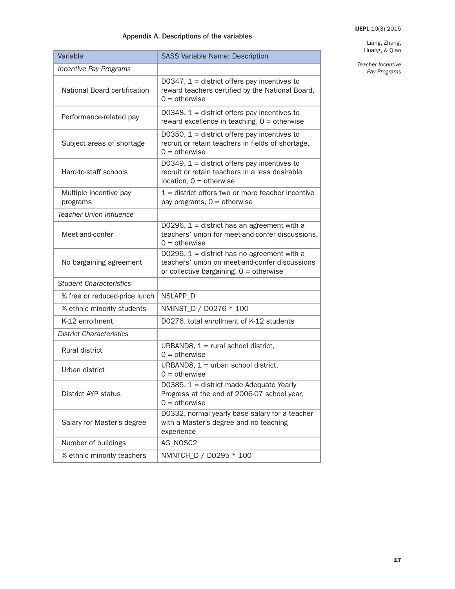#### Appendix A. Descriptions of the variables

| Variable                           | <b>SASS Variable Name: Description</b>                                                                                                       |
|------------------------------------|----------------------------------------------------------------------------------------------------------------------------------------------|
| Incentive Pay Programs             |                                                                                                                                              |
| National Board certification       | D0347, $1 =$ district offers pay incentives to<br>reward teachers certified by the National Board,<br>$0 =$ otherwise                        |
| Performance-related pay            | D0348, $1 =$ district offers pay incentives to<br>reward excellence in teaching, $0 =$ otherwise                                             |
| Subject areas of shortage          | D0350, $1 =$ district offers pay incentives to<br>recruit or retain teachers in fields of shortage,<br>$0 =$ otherwise                       |
| Hard-to-staff schools              | D0349, $1 =$ district offers pay incentives to<br>recruit or retain teachers in a less desirable<br>location, $0 =$ otherwise                |
| Multiple incentive pay<br>programs | $1$ = district offers two or more teacher incentive<br>pay programs, $0 =$ otherwise                                                         |
| <b>Teacher Union Influence</b>     |                                                                                                                                              |
| Meet-and-confer                    | D0296, $1 =$ district has an agreement with a<br>teachers' union for meet-and-confer discussions,<br>$0 =$ otherwise                         |
| No bargaining agreement            | D0296, $1 =$ district has no agreement with a<br>teachers' union on meet-and-confer discussions<br>or collective bargaining, $0 =$ otherwise |
| <b>Student Characteristics</b>     |                                                                                                                                              |
| % free or reduced-price lunch      | NSLAPP_D                                                                                                                                     |
| % ethnic minority students         | NMINST_D / D0276 * 100                                                                                                                       |
| K-12 enrollment                    | D0276, total enrollment of K-12 students                                                                                                     |
| <b>District Characteristics</b>    |                                                                                                                                              |
| Rural district                     | URBAND8, $1$ = rural school district,<br>$0 =$ otherwise                                                                                     |
| Urban district                     | URBAND8, $1 =$ urban school district,<br>$0 =$ otherwise                                                                                     |
| District AYP status                | D0385, $1 =$ district made Adequate Yearly<br>Progress at the end of 2006-07 school year,<br>$0 =$ otherwise                                 |
| Salary for Master's degree         | D0332, normal yearly base salary for a teacher<br>with a Master's degree and no teaching<br>experience                                       |
| Number of buildings                | AG_NOSC2                                                                                                                                     |
| % ethnic minority teachers         | NMNTCH_D / D0295 * 100                                                                                                                       |

Liang, Zhang, Huang, & Qiao